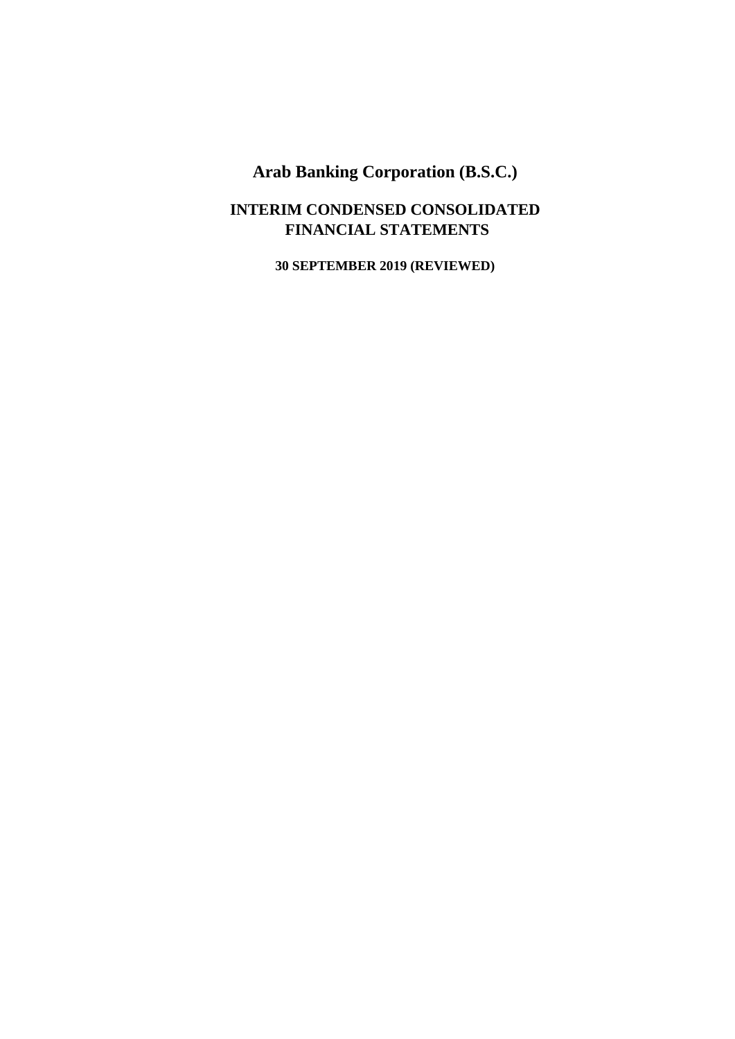## **INTERIM CONDENSED CONSOLIDATED FINANCIAL STATEMENTS**

**30 SEPTEMBER 2019 (REVIEWED)**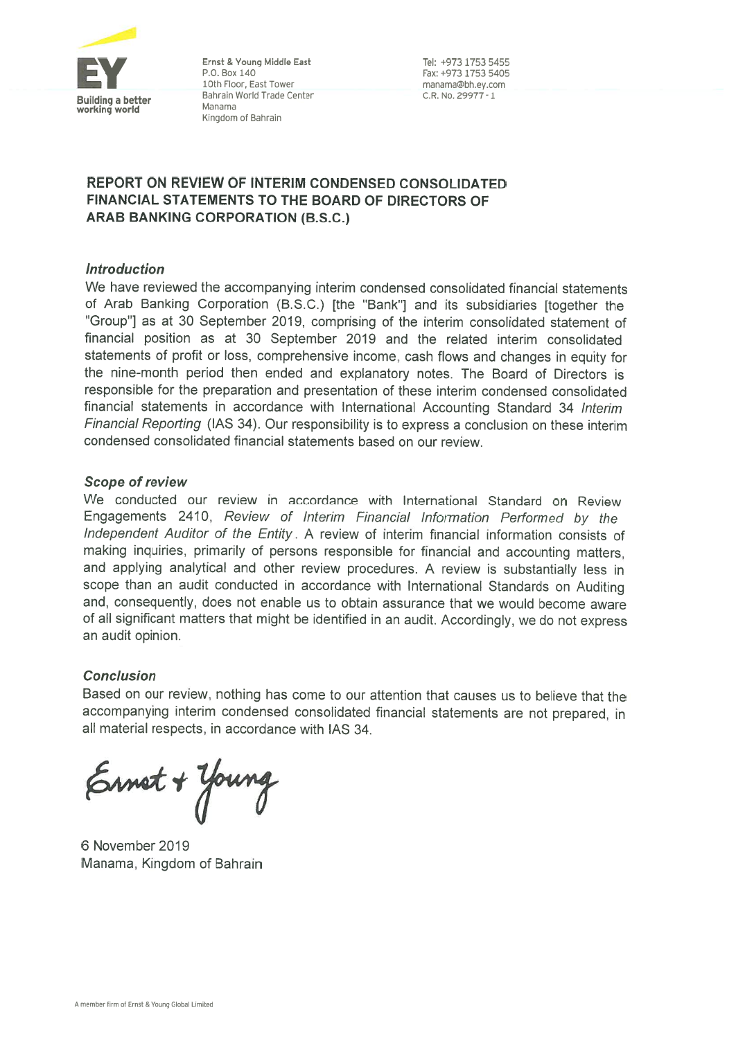

Ernst & Young Middle East P.O. Box 140 10th Floor. East Tower Bahrain World Trade Center Manama Kingdom of Bahrain

Tel: +973 1753 5455 Fax: +973 1753 5405 manama@hh ey com C.R. No. 29977 - 1

### **REPORT ON REVIEW OF INTERIM CONDENSED CONSOLIDATED** FINANCIAL STATEMENTS TO THE BOARD OF DIRECTORS OF ARAB BANKING CORPORATION (B.S.C.)

### **Introduction**

We have reviewed the accompanying interim condensed consolidated financial statements of Arab Banking Corporation (B.S.C.) [the "Bank"] and its subsidiaries [together the "Group"] as at 30 September 2019, comprising of the interim consolidated statement of financial position as at 30 September 2019 and the related interim consolidated statements of profit or loss, comprehensive income, cash flows and changes in equity for the nine-month period then ended and explanatory notes. The Board of Directors is responsible for the preparation and presentation of these interim condensed consolidated financial statements in accordance with International Accounting Standard 34 Interim Financial Reporting (IAS 34). Our responsibility is to express a conclusion on these interim condensed consolidated financial statements based on our review.

### **Scope of review**

We conducted our review in accordance with International Standard on Review Engagements 2410, Review of Interim Financial Information Performed by the Independent Auditor of the Entity. A review of interim financial information consists of making inquiries, primarily of persons responsible for financial and accounting matters, and applying analytical and other review procedures. A review is substantially less in scope than an audit conducted in accordance with International Standards on Auditing and, consequently, does not enable us to obtain assurance that we would become aware of all significant matters that might be identified in an audit. Accordingly, we do not express an audit opinion.

### **Conclusion**

Based on our review, nothing has come to our attention that causes us to believe that the accompanying interim condensed consolidated financial statements are not prepared, in all material respects, in accordance with IAS 34.

Ernet + Young

6 November 2019 Manama, Kingdom of Bahrain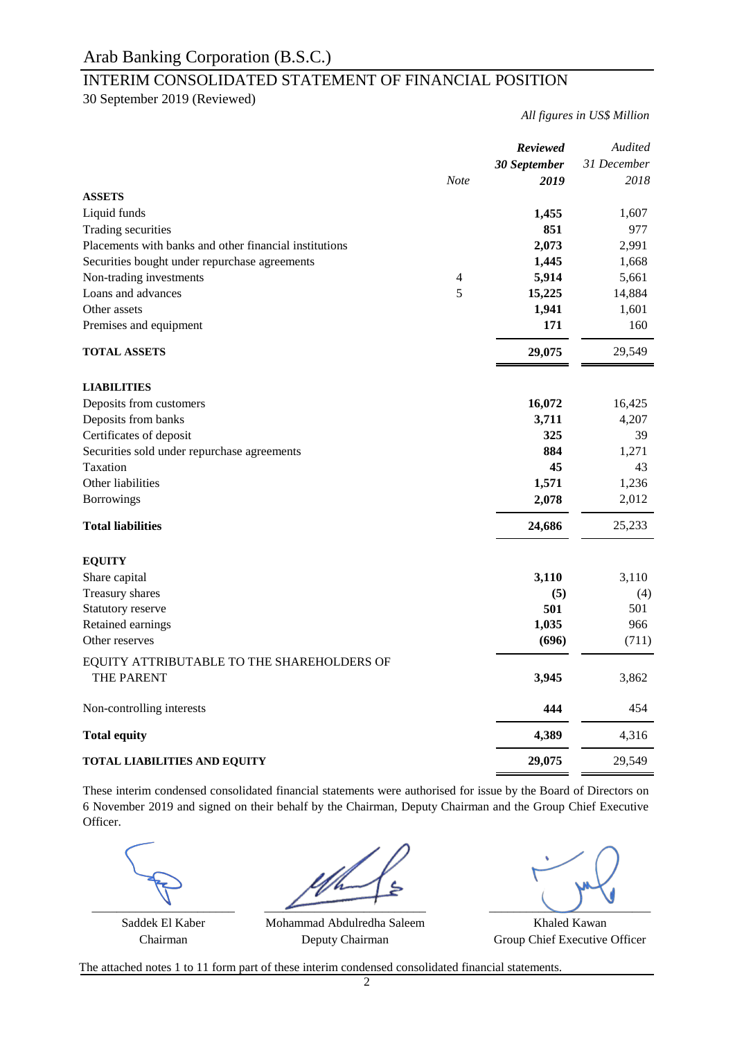## INTERIM CONSOLIDATED STATEMENT OF FINANCIAL POSITION

30 September 2019 (Reviewed)

*All figures in US\$ Million*

|                                                          | <b>Note</b>    | <b>Reviewed</b><br>30 September<br>2019 | Audited<br>31 December<br>2018 |
|----------------------------------------------------------|----------------|-----------------------------------------|--------------------------------|
| <b>ASSETS</b>                                            |                |                                         |                                |
| Liquid funds                                             |                | 1,455                                   | 1,607                          |
| Trading securities                                       |                | 851                                     | 977                            |
| Placements with banks and other financial institutions   |                | 2,073                                   | 2,991                          |
| Securities bought under repurchase agreements            |                | 1,445                                   | 1,668                          |
| Non-trading investments                                  | $\overline{4}$ | 5,914                                   | 5,661                          |
| Loans and advances                                       | 5              | 15,225                                  | 14,884                         |
| Other assets                                             |                | 1,941                                   | 1,601                          |
| Premises and equipment                                   |                | 171                                     | 160                            |
| <b>TOTAL ASSETS</b>                                      |                | 29,075                                  | 29,549                         |
| <b>LIABILITIES</b>                                       |                |                                         |                                |
| Deposits from customers                                  |                | 16,072                                  | 16,425                         |
| Deposits from banks                                      |                | 3,711                                   | 4,207                          |
| Certificates of deposit                                  |                | 325                                     | 39                             |
| Securities sold under repurchase agreements              |                | 884                                     | 1,271                          |
| Taxation                                                 |                | 45                                      | 43                             |
| Other liabilities                                        |                | 1,571                                   | 1,236                          |
| <b>Borrowings</b>                                        |                | 2,078                                   | 2,012                          |
| <b>Total liabilities</b>                                 |                | 24,686                                  | 25,233                         |
| <b>EQUITY</b>                                            |                |                                         |                                |
| Share capital                                            |                | 3,110                                   | 3,110                          |
| Treasury shares                                          |                | (5)                                     | (4)                            |
| Statutory reserve                                        |                | 501                                     | 501                            |
| Retained earnings                                        |                | 1,035                                   | 966                            |
| Other reserves                                           |                | (696)                                   | (711)                          |
| EQUITY ATTRIBUTABLE TO THE SHAREHOLDERS OF<br>THE PARENT |                | 3,945                                   | 3,862                          |
|                                                          |                |                                         |                                |
| Non-controlling interests                                |                | 444                                     | 454                            |
| <b>Total equity</b>                                      |                | 4,389                                   | 4,316                          |
| <b>TOTAL LIABILITIES AND EQUITY</b>                      |                | 29,075                                  | 29,549                         |

These interim condensed consolidated financial statements were authorised for issue by the Board of Directors on 6 November 2019 and signed on their behalf by the Chairman, Deputy Chairman and the Group Chief Executive Officer.

 $\overline{\phantom{a}}$  , and the contract of  $\overline{\phantom{a}}$ 

Chairman Deputy Chairman Group Chief Executive Officer

Saddek El Kaber Mohammad Abdulredha Saleem Khaled Kawan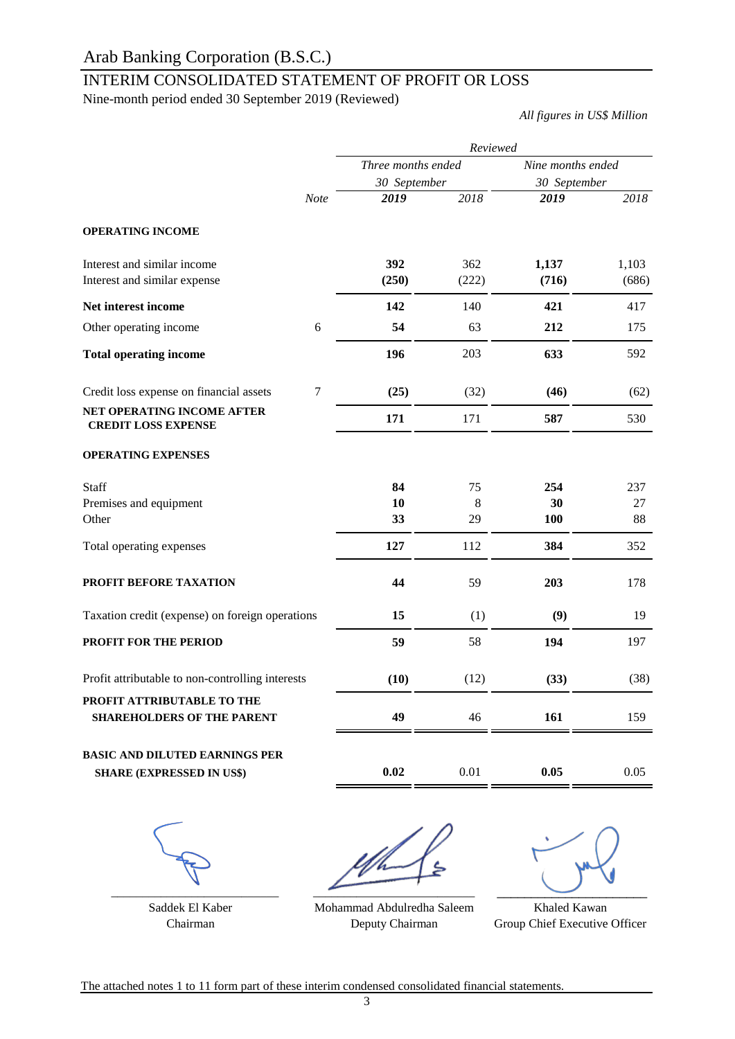# INTERIM CONSOLIDATED STATEMENT OF PROFIT OR LOSS

Nine-month period ended 30 September 2019 (Reviewed)

*All figures in US\$ Million*

|                                                                           |             | Reviewed           |              |                   |                |  |  |
|---------------------------------------------------------------------------|-------------|--------------------|--------------|-------------------|----------------|--|--|
|                                                                           |             | Three months ended |              | Nine months ended |                |  |  |
|                                                                           |             | 30 September       |              | 30 September      |                |  |  |
|                                                                           | <b>Note</b> | 2019               | 2018         | 2019              | 2018           |  |  |
| <b>OPERATING INCOME</b>                                                   |             |                    |              |                   |                |  |  |
| Interest and similar income<br>Interest and similar expense               |             | 392<br>(250)       | 362<br>(222) | 1,137<br>(716)    | 1,103<br>(686) |  |  |
| Net interest income                                                       |             | 142                | 140          | 421               | 417            |  |  |
| Other operating income                                                    | 6           | 54                 | 63           | 212               | 175            |  |  |
| <b>Total operating income</b>                                             |             | 196                | 203          | 633               | 592            |  |  |
| Credit loss expense on financial assets                                   | $\tau$      | (25)               | (32)         | (46)              | (62)           |  |  |
| NET OPERATING INCOME AFTER<br><b>CREDIT LOSS EXPENSE</b>                  |             | 171                | 171          | 587               | 530            |  |  |
| <b>OPERATING EXPENSES</b>                                                 |             |                    |              |                   |                |  |  |
| Staff                                                                     |             | 84                 | 75           | 254               | 237            |  |  |
| Premises and equipment                                                    |             | 10                 | 8            | 30                | 27             |  |  |
| Other                                                                     |             | 33                 | 29           | 100               | 88             |  |  |
| Total operating expenses                                                  |             | 127                | 112          | 384               | 352            |  |  |
| PROFIT BEFORE TAXATION                                                    |             | 44                 | 59           | 203               | 178            |  |  |
| Taxation credit (expense) on foreign operations                           |             | 15                 | (1)          | (9)               | 19             |  |  |
| PROFIT FOR THE PERIOD                                                     |             | 59                 | 58           | 194               | 197            |  |  |
| Profit attributable to non-controlling interests                          |             | (10)               | (12)         | (33)              | (38)           |  |  |
| PROFIT ATTRIBUTABLE TO THE<br><b>SHAREHOLDERS OF THE PARENT</b>           |             | 49                 | 46           | 161               | 159            |  |  |
| <b>BASIC AND DILUTED EARNINGS PER</b><br><b>SHARE (EXPRESSED IN US\$)</b> |             | 0.02               | 0.01         | 0.05              | 0.05           |  |  |
|                                                                           |             |                    |              |                   |                |  |  |
|                                                                           |             |                    |              |                   |                |  |  |

\_\_\_\_\_\_\_\_\_\_\_\_\_\_\_\_\_\_\_\_\_\_\_\_\_\_\_

Saddek El Kaber

 $\overline{\phantom{a}}$   $\overline{\phantom{a}}$   $\overline{\phantom{a}}$   $\overline{\phantom{a}}$   $\overline{\phantom{a}}$   $\overline{\phantom{a}}$   $\overline{\phantom{a}}$   $\overline{\phantom{a}}$   $\overline{\phantom{a}}$   $\overline{\phantom{a}}$   $\overline{\phantom{a}}$   $\overline{\phantom{a}}$   $\overline{\phantom{a}}$   $\overline{\phantom{a}}$   $\overline{\phantom{a}}$   $\overline{\phantom{a}}$   $\overline{\phantom{a}}$   $\overline{\phantom{a}}$   $\overline{\$ 

 $\overline{\phantom{a}}$ 

Chairman Deputy Chairman Group Chief Executive Officer Mohammad Abdulredha Saleem Deputy Chairman

Khaled Kawan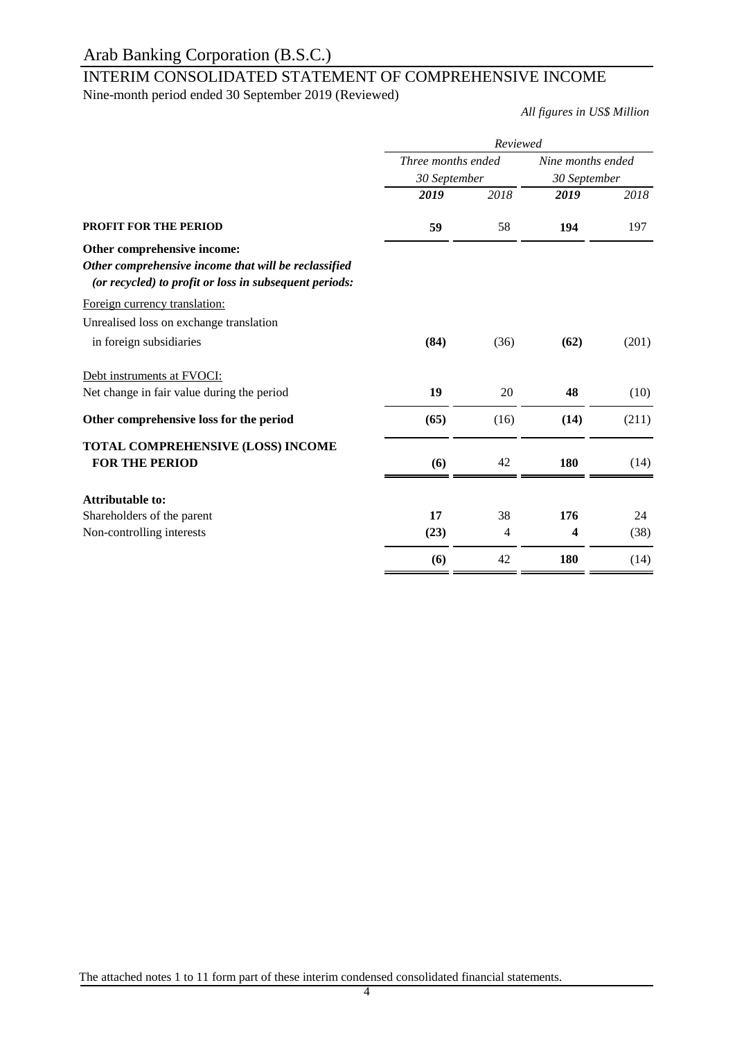# INTERIM CONSOLIDATED STATEMENT OF COMPREHENSIVE INCOME

Nine-month period ended 30 September 2019 (Reviewed)

*All figures in US\$ Million*

|                                                                                                                | Reviewed           |      |                   |       |  |  |
|----------------------------------------------------------------------------------------------------------------|--------------------|------|-------------------|-------|--|--|
|                                                                                                                | Three months ended |      | Nine months ended |       |  |  |
|                                                                                                                | 30 September       |      | 30 September      |       |  |  |
|                                                                                                                | 2019               | 2018 | 2019              | 2018  |  |  |
| <b>PROFIT FOR THE PERIOD</b>                                                                                   | 59                 | 58   | 194               | 197   |  |  |
| Other comprehensive income:                                                                                    |                    |      |                   |       |  |  |
| Other comprehensive income that will be reclassified<br>(or recycled) to profit or loss in subsequent periods: |                    |      |                   |       |  |  |
| Foreign currency translation:                                                                                  |                    |      |                   |       |  |  |
| Unrealised loss on exchange translation                                                                        |                    |      |                   |       |  |  |
| in foreign subsidiaries                                                                                        | (84)               | (36) | (62)              | (201) |  |  |
| Debt instruments at FVOCI:                                                                                     |                    |      |                   |       |  |  |
| Net change in fair value during the period                                                                     | 19                 | 20   | 48                | (10)  |  |  |
| Other comprehensive loss for the period                                                                        | (65)               | (16) | (14)              | (211) |  |  |
| TOTAL COMPREHENSIVE (LOSS) INCOME                                                                              |                    |      |                   |       |  |  |
| <b>FOR THE PERIOD</b>                                                                                          | (6)                | 42   | 180               | (14)  |  |  |
| <b>Attributable to:</b>                                                                                        |                    |      |                   |       |  |  |
| Shareholders of the parent                                                                                     | 17                 | 38   | 176               | 24    |  |  |
| Non-controlling interests                                                                                      | (23)               | 4    | 4                 | (38)  |  |  |
|                                                                                                                | (6)                | 42   | 180               | (14)  |  |  |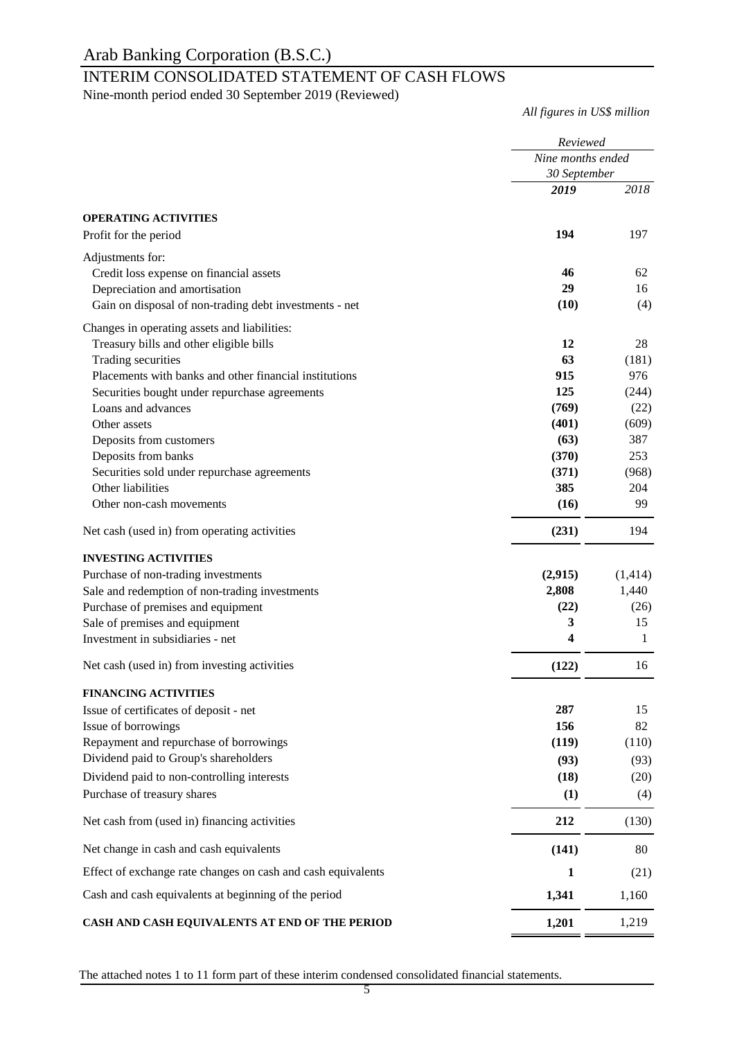## INTERIM CONSOLIDATED STATEMENT OF CASH FLOWS

Nine-month period ended 30 September 2019 (Reviewed)

*All figures in US\$ million*

|                                                              | Reviewed<br>Nine months ended<br>30 September |         |  |
|--------------------------------------------------------------|-----------------------------------------------|---------|--|
|                                                              |                                               |         |  |
|                                                              | 2019                                          | 2018    |  |
|                                                              |                                               |         |  |
| <b>OPERATING ACTIVITIES</b><br>Profit for the period         | 194                                           | 197     |  |
|                                                              |                                               |         |  |
| Adjustments for:                                             |                                               |         |  |
| Credit loss expense on financial assets                      | 46                                            | 62      |  |
| Depreciation and amortisation                                | 29                                            | 16      |  |
| Gain on disposal of non-trading debt investments - net       | (10)                                          | (4)     |  |
| Changes in operating assets and liabilities:                 |                                               |         |  |
| Treasury bills and other eligible bills                      | 12                                            | 28      |  |
| Trading securities                                           | 63                                            | (181)   |  |
| Placements with banks and other financial institutions       | 915                                           | 976     |  |
| Securities bought under repurchase agreements                | 125                                           | (244)   |  |
| Loans and advances                                           | (769)                                         | (22)    |  |
| Other assets                                                 | (401)                                         | (609)   |  |
| Deposits from customers                                      | (63)                                          | 387     |  |
| Deposits from banks                                          | (370)                                         | 253     |  |
| Securities sold under repurchase agreements                  | (371)                                         | (968)   |  |
| Other liabilities                                            | 385                                           | 204     |  |
| Other non-cash movements                                     | (16)                                          | 99      |  |
| Net cash (used in) from operating activities                 | (231)                                         | 194     |  |
| <b>INVESTING ACTIVITIES</b>                                  |                                               |         |  |
| Purchase of non-trading investments                          | (2,915)                                       | (1,414) |  |
| Sale and redemption of non-trading investments               | 2,808                                         | 1,440   |  |
| Purchase of premises and equipment                           | (22)                                          | (26)    |  |
| Sale of premises and equipment                               | 3                                             | 15      |  |
| Investment in subsidiaries - net                             | 4                                             | 1       |  |
| Net cash (used in) from investing activities                 | (122)                                         | 16      |  |
| <b>FINANCING ACTIVITIES</b>                                  |                                               |         |  |
| Issue of certificates of deposit - net                       | 287                                           | 15      |  |
| Issue of borrowings                                          | 156                                           | 82      |  |
| Repayment and repurchase of borrowings                       | (119)                                         | (110)   |  |
| Dividend paid to Group's shareholders                        | (93)                                          | (93)    |  |
| Dividend paid to non-controlling interests                   | (18)                                          | (20)    |  |
| Purchase of treasury shares                                  | (1)                                           | (4)     |  |
| Net cash from (used in) financing activities                 | 212                                           | (130)   |  |
| Net change in cash and cash equivalents                      | (141)                                         | 80      |  |
| Effect of exchange rate changes on cash and cash equivalents | 1                                             | (21)    |  |
| Cash and cash equivalents at beginning of the period         | 1,341                                         | 1,160   |  |
| CASH AND CASH EQUIVALENTS AT END OF THE PERIOD               | 1,201                                         | 1,219   |  |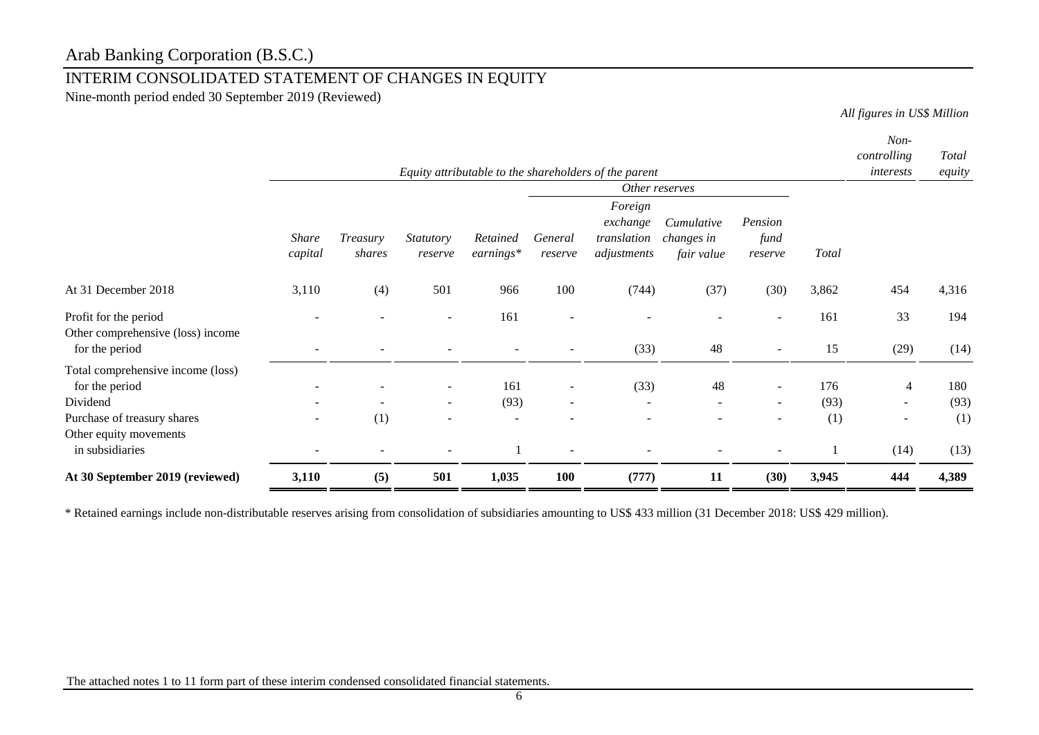## INTERIM CONSOLIDATED STATEMENT OF CHANGES IN EQUITY

Nine-month period ended 30 September 2019 (Reviewed)

*All figures in US\$ Million*

|                                                            |                          |                          |                             |                         |                          | Equity attributable to the shareholders of the parent |                                        |                            |       | Non-<br>controlling<br>interests | Total<br>equity |
|------------------------------------------------------------|--------------------------|--------------------------|-----------------------------|-------------------------|--------------------------|-------------------------------------------------------|----------------------------------------|----------------------------|-------|----------------------------------|-----------------|
|                                                            |                          |                          |                             |                         |                          |                                                       | Other reserves                         |                            |       |                                  |                 |
|                                                            | <b>Share</b><br>capital  | Treasury<br>shares       | <i>Statutory</i><br>reserve | Retained<br>$earnings*$ | General<br>reserve       | Foreign<br>exchange<br>translation<br>adjustments     | Cumulative<br>changes in<br>fair value | Pension<br>fund<br>reserve | Total |                                  |                 |
| At 31 December 2018                                        | 3,110                    | (4)                      | 501                         | 966                     | 100                      | (744)                                                 | (37)                                   | (30)                       | 3,862 | 454                              | 4,316           |
| Profit for the period<br>Other comprehensive (loss) income |                          |                          |                             | 161                     |                          |                                                       |                                        |                            | 161   | 33                               | 194             |
| for the period                                             |                          |                          |                             |                         |                          | (33)                                                  | 48                                     |                            | 15    | (29)                             | (14)            |
| Total comprehensive income (loss)<br>for the period        |                          |                          |                             | 161                     |                          | (33)                                                  | 48                                     |                            | 176   | $\overline{4}$                   | 180             |
| Dividend                                                   |                          | $\overline{\phantom{a}}$ | $\sim$                      | (93)                    | $\overline{\phantom{a}}$ | $\overline{\phantom{a}}$                              | ۰                                      | $\sim$                     | (93)  | $\overline{\phantom{a}}$         | (93)            |
| Purchase of treasury shares<br>Other equity movements      | $\overline{\phantom{0}}$ | (1)                      |                             |                         |                          |                                                       |                                        |                            | (1)   | $\overline{\phantom{a}}$         | (1)             |
| in subsidiaries                                            |                          |                          |                             |                         |                          |                                                       |                                        |                            |       | (14)                             | (13)            |
| At 30 September 2019 (reviewed)                            | 3,110                    | (5)                      | 501                         | 1,035                   | 100                      | (777)                                                 | 11                                     | (30)                       | 3,945 | 444                              | 4,389           |

\* Retained earnings include non-distributable reserves arising from consolidation of subsidiaries amounting to US\$ 433 million (31 December 2018: US\$ 429 million).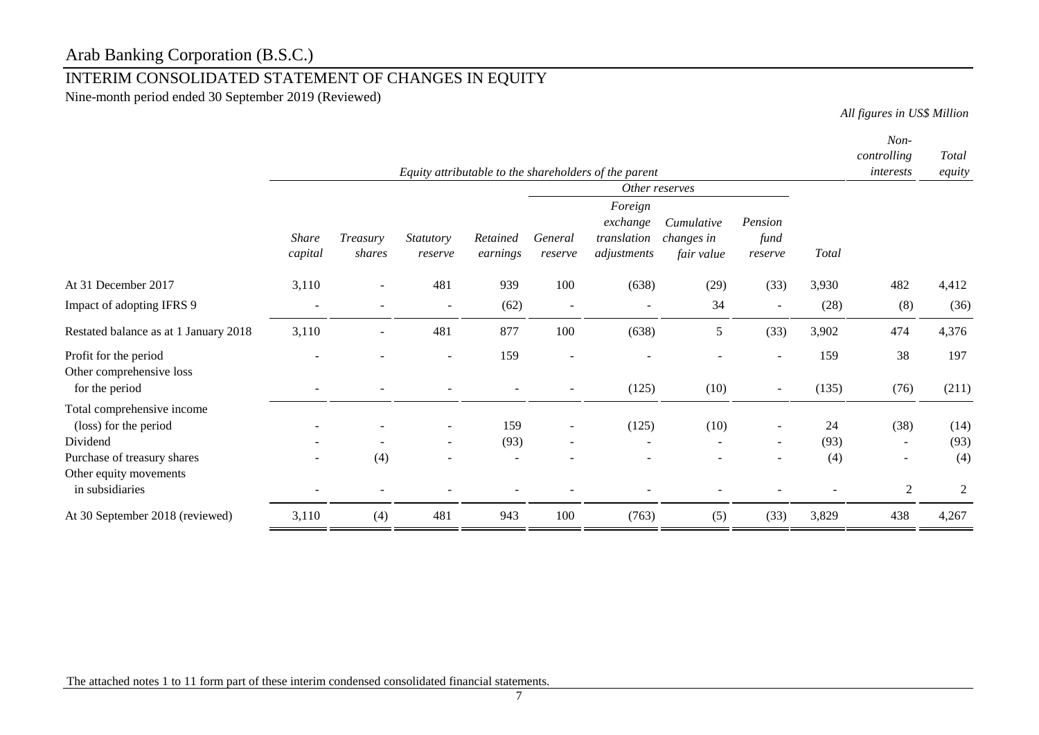## INTERIM CONSOLIDATED STATEMENT OF CHANGES IN EQUITY

Nine-month period ended 30 September 2019 (Reviewed)

*All figures in US\$ Million*

|                                                                          |                          |                    |                          |                      |                          | Equity attributable to the shareholders of the parent |                                        |                            |       | Non-<br>controlling<br>interests | Total<br>equity |
|--------------------------------------------------------------------------|--------------------------|--------------------|--------------------------|----------------------|--------------------------|-------------------------------------------------------|----------------------------------------|----------------------------|-------|----------------------------------|-----------------|
|                                                                          |                          |                    |                          |                      |                          |                                                       | Other reserves                         |                            |       |                                  |                 |
|                                                                          | <b>Share</b><br>capital  | Treasury<br>shares | Statutory<br>reserve     | Retained<br>earnings | General<br>reserve       | Foreign<br>exchange<br>translation<br>adjustments     | Cumulative<br>changes in<br>fair value | Pension<br>fund<br>reserve | Total |                                  |                 |
| At 31 December 2017                                                      | 3,110                    |                    | 481                      | 939                  | 100                      | (638)                                                 | (29)                                   | (33)                       | 3,930 | 482                              | 4,412           |
| Impact of adopting IFRS 9                                                | $\overline{\phantom{a}}$ |                    |                          | (62)                 | $\overline{\phantom{a}}$ |                                                       | 34                                     | $\overline{\phantom{a}}$   | (28)  | (8)                              | (36)            |
| Restated balance as at 1 January 2018                                    | 3,110                    | $\blacksquare$     | 481                      | 877                  | 100                      | (638)                                                 | 5                                      | (33)                       | 3,902 | 474                              | 4,376           |
| Profit for the period                                                    |                          |                    |                          | 159                  |                          |                                                       |                                        |                            | 159   | 38                               | 197             |
| Other comprehensive loss<br>for the period                               |                          |                    |                          |                      |                          | (125)                                                 | (10)                                   | $\sim$                     | (135) | (76)                             | (211)           |
| Total comprehensive income<br>(loss) for the period                      |                          |                    |                          | 159                  | $\overline{\phantom{a}}$ | (125)                                                 | (10)                                   | $\blacksquare$             | 24    | (38)                             | (14)            |
| Dividend                                                                 |                          | (4)                | $\overline{\phantom{a}}$ | (93)                 | $\blacksquare$           |                                                       |                                        | $\overline{\phantom{a}}$   | (93)  |                                  | (93)<br>(4)     |
| Purchase of treasury shares<br>Other equity movements<br>in subsidiaries |                          |                    |                          |                      |                          |                                                       |                                        |                            | (4)   | 2                                | 2               |
| At 30 September 2018 (reviewed)                                          | 3,110                    | (4)                | 481                      | 943                  | 100                      | (763)                                                 | (5)                                    | (33)                       | 3,829 | 438                              | 4,267           |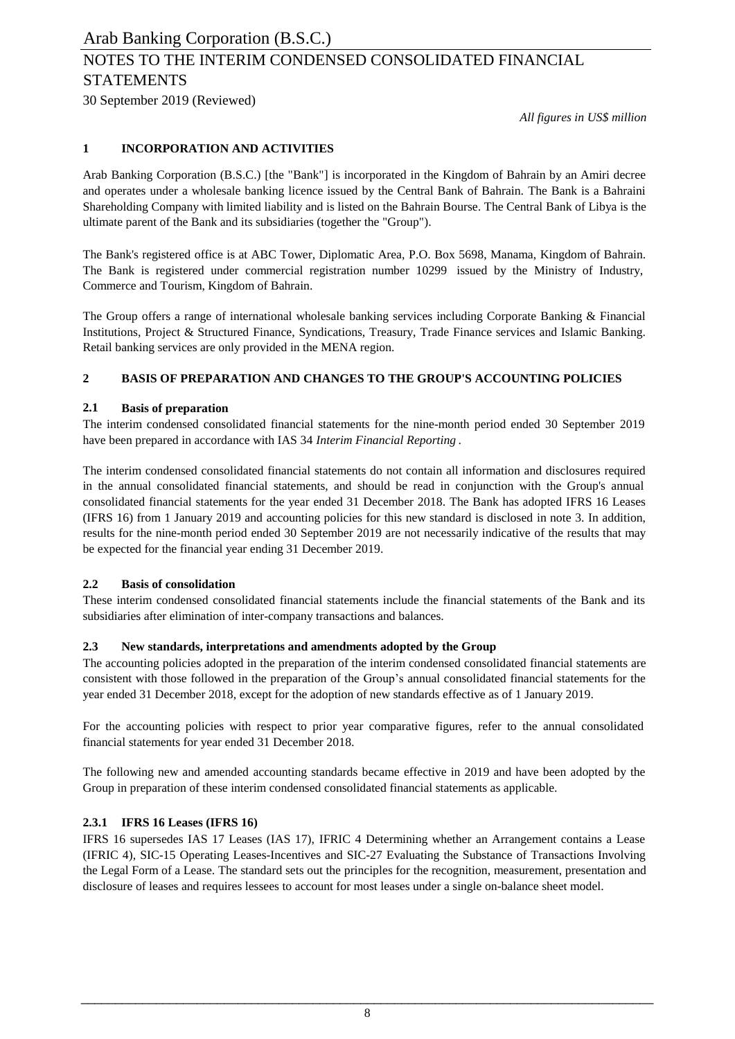# NOTES TO THE INTERIM CONDENSED CONSOLIDATED FINANCIAL **STATEMENTS**

30 September 2019 (Reviewed)

*All figures in US\$ million*

### **1 INCORPORATION AND ACTIVITIES**

Arab Banking Corporation (B.S.C.) [the "Bank"] is incorporated in the Kingdom of Bahrain by an Amiri decree and operates under a wholesale banking licence issued by the Central Bank of Bahrain. The Bank is a Bahraini Shareholding Company with limited liability and is listed on the Bahrain Bourse. The Central Bank of Libya is the ultimate parent of the Bank and its subsidiaries (together the "Group").

The Bank's registered office is at ABC Tower, Diplomatic Area, P.O. Box 5698, Manama, Kingdom of Bahrain. The Bank is registered under commercial registration number 10299 issued by the Ministry of Industry, Commerce and Tourism, Kingdom of Bahrain.

The Group offers a range of international wholesale banking services including Corporate Banking & Financial Institutions, Project & Structured Finance, Syndications, Treasury, Trade Finance services and Islamic Banking. Retail banking services are only provided in the MENA region.

### **2 BASIS OF PREPARATION AND CHANGES TO THE GROUP'S ACCOUNTING POLICIES**

### **2.1 Basis of preparation**

The interim condensed consolidated financial statements for the nine-month period ended 30 September 2019 have been prepared in accordance with IAS 34 *Interim Financial Reporting* .

The interim condensed consolidated financial statements do not contain all information and disclosures required in the annual consolidated financial statements, and should be read in conjunction with the Group's annual consolidated financial statements for the year ended 31 December 2018. The Bank has adopted IFRS 16 Leases (IFRS 16) from 1 January 2019 and accounting policies for this new standard is disclosed in note 3. In addition, results for the nine-month period ended 30 September 2019 are not necessarily indicative of the results that may be expected for the financial year ending 31 December 2019.

### **2.2 Basis of consolidation**

These interim condensed consolidated financial statements include the financial statements of the Bank and its subsidiaries after elimination of inter-company transactions and balances.

### **2.3 New standards, interpretations and amendments adopted by the Group**

The accounting policies adopted in the preparation of the interim condensed consolidated financial statements are consistent with those followed in the preparation of the Group's annual consolidated financial statements for the year ended 31 December 2018, except for the adoption of new standards effective as of 1 January 2019.

For the accounting policies with respect to prior year comparative figures, refer to the annual consolidated financial statements for year ended 31 December 2018.

The following new and amended accounting standards became effective in 2019 and have been adopted by the Group in preparation of these interim condensed consolidated financial statements as applicable.

### **2.3.1 IFRS 16 Leases (IFRS 16)**

IFRS 16 supersedes IAS 17 Leases (IAS 17), IFRIC 4 Determining whether an Arrangement contains a Lease (IFRIC 4), SIC-15 Operating Leases-Incentives and SIC-27 Evaluating the Substance of Transactions Involving the Legal Form of a Lease. The standard sets out the principles for the recognition, measurement, presentation and disclosure of leases and requires lessees to account for most leases under a single on-balance sheet model.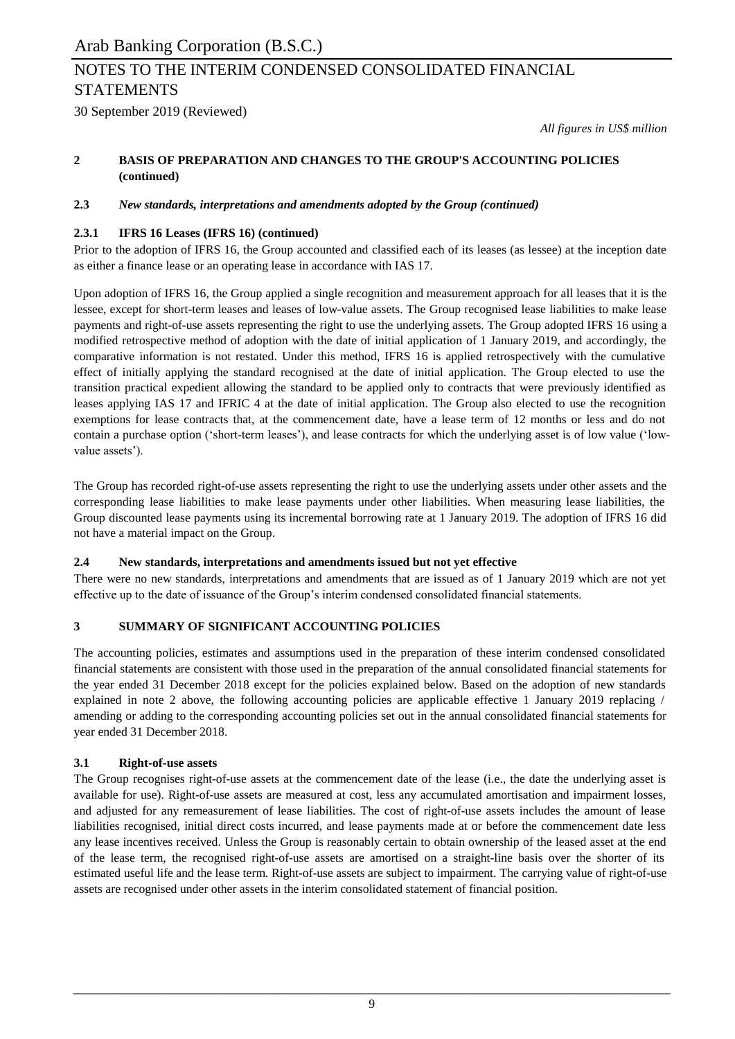# NOTES TO THE INTERIM CONDENSED CONSOLIDATED FINANCIAL STATEMENTS

30 September 2019 (Reviewed)

*All figures in US\$ million*

#### **2 BASIS OF PREPARATION AND CHANGES TO THE GROUP'S ACCOUNTING POLICIES (continued)**

### **2.3** *New standards, interpretations and amendments adopted by the Group (continued)*

### **2.3.1 IFRS 16 Leases (IFRS 16) (continued)**

Prior to the adoption of IFRS 16, the Group accounted and classified each of its leases (as lessee) at the inception date as either a finance lease or an operating lease in accordance with IAS 17.

Upon adoption of IFRS 16, the Group applied a single recognition and measurement approach for all leases that it is the lessee, except for short-term leases and leases of low-value assets. The Group recognised lease liabilities to make lease payments and right-of-use assets representing the right to use the underlying assets. The Group adopted IFRS 16 using a modified retrospective method of adoption with the date of initial application of 1 January 2019, and accordingly, the comparative information is not restated. Under this method, IFRS 16 is applied retrospectively with the cumulative effect of initially applying the standard recognised at the date of initial application. The Group elected to use the transition practical expedient allowing the standard to be applied only to contracts that were previously identified as leases applying IAS 17 and IFRIC 4 at the date of initial application. The Group also elected to use the recognition exemptions for lease contracts that, at the commencement date, have a lease term of 12 months or less and do not contain a purchase option ('short-term leases'), and lease contracts for which the underlying asset is of low value ('lowvalue assets').

The Group has recorded right-of-use assets representing the right to use the underlying assets under other assets and the corresponding lease liabilities to make lease payments under other liabilities. When measuring lease liabilities, the Group discounted lease payments using its incremental borrowing rate at 1 January 2019. The adoption of IFRS 16 did not have a material impact on the Group.

### **2.4 New standards, interpretations and amendments issued but not yet effective**

There were no new standards, interpretations and amendments that are issued as of 1 January 2019 which are not yet effective up to the date of issuance of the Group's interim condensed consolidated financial statements.

### **3 SUMMARY OF SIGNIFICANT ACCOUNTING POLICIES**

The accounting policies, estimates and assumptions used in the preparation of these interim condensed consolidated financial statements are consistent with those used in the preparation of the annual consolidated financial statements for the year ended 31 December 2018 except for the policies explained below. Based on the adoption of new standards explained in note 2 above, the following accounting policies are applicable effective 1 January 2019 replacing / amending or adding to the corresponding accounting policies set out in the annual consolidated financial statements for year ended 31 December 2018.

### **3.1 Right-of-use assets**

The Group recognises right-of-use assets at the commencement date of the lease (i.e., the date the underlying asset is available for use). Right-of-use assets are measured at cost, less any accumulated amortisation and impairment losses, and adjusted for any remeasurement of lease liabilities. The cost of right-of-use assets includes the amount of lease liabilities recognised, initial direct costs incurred, and lease payments made at or before the commencement date less any lease incentives received. Unless the Group is reasonably certain to obtain ownership of the leased asset at the end of the lease term, the recognised right-of-use assets are amortised on a straight-line basis over the shorter of its estimated useful life and the lease term. Right-of-use assets are subject to impairment. The carrying value of right-of-use assets are recognised under other assets in the interim consolidated statement of financial position.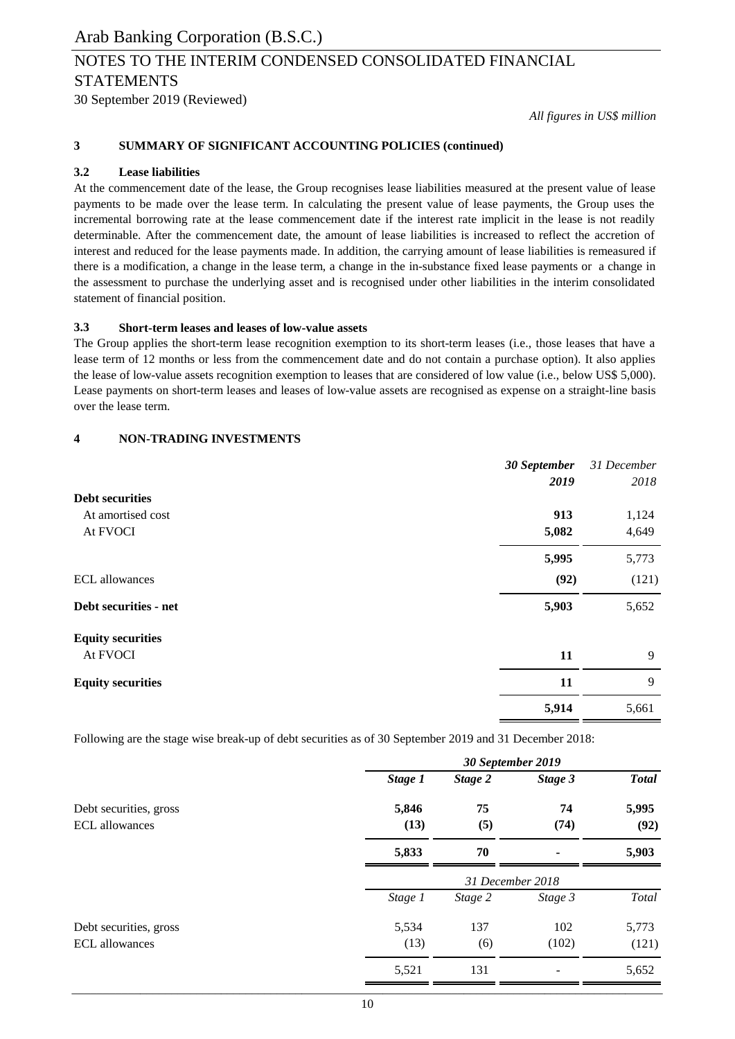# NOTES TO THE INTERIM CONDENSED CONSOLIDATED FINANCIAL STATEMENTS

30 September 2019 (Reviewed)

*All figures in US\$ million*

#### **3 SUMMARY OF SIGNIFICANT ACCOUNTING POLICIES (continued)**

### **3.2 Lease liabilities**

At the commencement date of the lease, the Group recognises lease liabilities measured at the present value of lease payments to be made over the lease term. In calculating the present value of lease payments, the Group uses the incremental borrowing rate at the lease commencement date if the interest rate implicit in the lease is not readily determinable. After the commencement date, the amount of lease liabilities is increased to reflect the accretion of interest and reduced for the lease payments made. In addition, the carrying amount of lease liabilities is remeasured if there is a modification, a change in the lease term, a change in the in-substance fixed lease payments or a change in the assessment to purchase the underlying asset and is recognised under other liabilities in the interim consolidated statement of financial position.

#### **3.3 Short-term leases and leases of low-value assets**

The Group applies the short-term lease recognition exemption to its short-term leases (i.e., those leases that have a lease term of 12 months or less from the commencement date and do not contain a purchase option). It also applies the lease of low-value assets recognition exemption to leases that are considered of low value (i.e., below US\$ 5,000). Lease payments on short-term leases and leases of low-value assets are recognised as expense on a straight-line basis over the lease term.

#### **4 NON-TRADING INVESTMENTS**

|                          | 30 September | 31 December |
|--------------------------|--------------|-------------|
|                          | 2019         | 2018        |
| <b>Debt securities</b>   |              |             |
| At amortised cost        | 913          | 1,124       |
| At FVOCI                 | 5,082        | 4,649       |
|                          | 5,995        | 5,773       |
| <b>ECL</b> allowances    | (92)         | (121)       |
| Debt securities - net    | 5,903        | 5,652       |
| <b>Equity securities</b> |              |             |
| At FVOCI                 | 11           | 9           |
| <b>Equity securities</b> | 11           | 9           |
|                          | 5,914        | 5,661       |

Following are the stage wise break-up of debt securities as of 30 September 2019 and 31 December 2018:

|                                                 | 30 September 2019 |                  |                |               |  |
|-------------------------------------------------|-------------------|------------------|----------------|---------------|--|
|                                                 | Stage 1           | Stage 2          | Stage 3        | <b>Total</b>  |  |
| Debt securities, gross<br><b>ECL</b> allowances | 5,846<br>(13)     | 75<br>(5)        | 74<br>(74)     | 5,995<br>(92) |  |
|                                                 | 5,833             | 70               | $\blacksquare$ | 5,903         |  |
|                                                 |                   | 31 December 2018 |                |               |  |
|                                                 | Stage 1           | Stage 2          | Stage 3        | Total         |  |
| Debt securities, gross                          | 5,534             | 137              | 102            | 5,773         |  |
| <b>ECL</b> allowances                           | (13)              | (6)              | (102)          | (121)         |  |
|                                                 | 5,521             | 131              |                | 5,652         |  |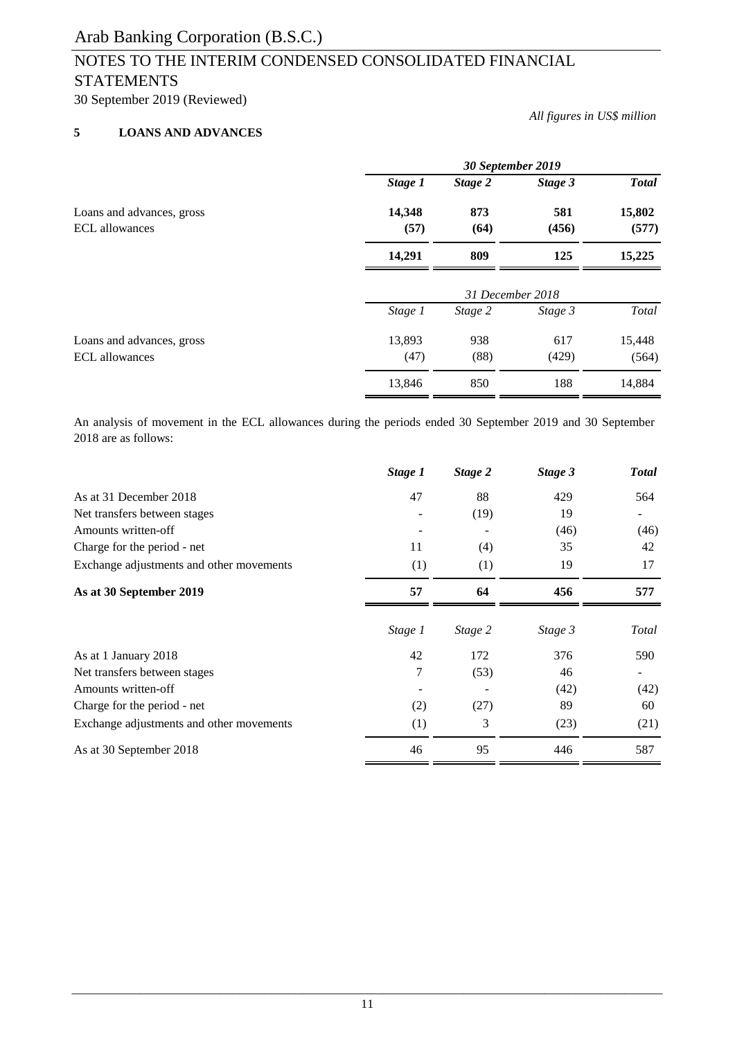## NOTES TO THE INTERIM CONDENSED CONSOLIDATED FINANCIAL STATEMENTS

30 September 2019 (Reviewed)

### **5 LOANS AND ADVANCES**

|                                                    | 30 September 2019 |                  |              |                 |  |
|----------------------------------------------------|-------------------|------------------|--------------|-----------------|--|
|                                                    | Stage 1           | Stage 2          | Stage 3      | <b>Total</b>    |  |
| Loans and advances, gross<br><b>ECL</b> allowances | 14,348<br>(57)    | 873<br>(64)      | 581<br>(456) | 15,802<br>(577) |  |
|                                                    | 14,291            | 809              | 125          | 15,225          |  |
|                                                    |                   | 31 December 2018 |              |                 |  |
|                                                    | Stage 1           | Stage 2          | Stage 3      | Total           |  |
| Loans and advances, gross<br><b>ECL</b> allowances | 13,893<br>(47)    | 938<br>(88)      | 617<br>(429) | 15,448<br>(564) |  |
|                                                    | 13,846            | 850              | 188          | 14,884          |  |

An analysis of movement in the ECL allowances during the periods ended 30 September 2019 and 30 September 2018 are as follows:

| 564<br>(46)<br>42<br>17 |
|-------------------------|
|                         |
|                         |
|                         |
|                         |
|                         |
| 577                     |
| Total                   |
| 590                     |
|                         |
| (42)                    |
| 60                      |
| (21)                    |
| 587                     |
|                         |

*All figures in US\$ million*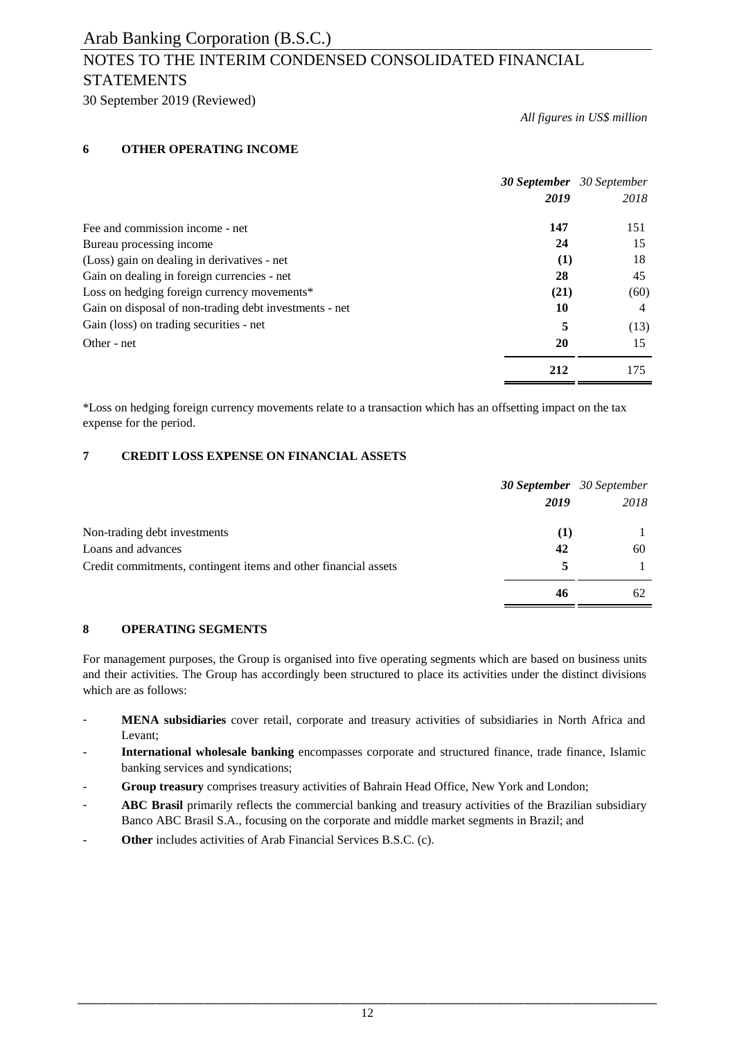## NOTES TO THE INTERIM CONDENSED CONSOLIDATED FINANCIAL STATEMENTS

30 September 2019 (Reviewed)

*All figures in US\$ million*

### **6 OTHER OPERATING INCOME**

|                                                        |      | <b>30 September</b> 30 September |
|--------------------------------------------------------|------|----------------------------------|
|                                                        | 2019 | 2018                             |
| Fee and commission income - net                        | 147  | 151                              |
| Bureau processing income                               | 24   | 15                               |
| (Loss) gain on dealing in derivatives - net            | (1)  | 18                               |
| Gain on dealing in foreign currencies - net            | 28   | 45                               |
| Loss on hedging foreign currency movements*            | (21) | (60)                             |
| Gain on disposal of non-trading debt investments - net | 10   | 4                                |
| Gain (loss) on trading securities - net                | 5    | (13)                             |
| Other - net                                            | 20   | 15                               |
|                                                        | 212  | 175                              |

\*Loss on hedging foreign currency movements relate to a transaction which has an offsetting impact on the tax expense for the period.

### **7 CREDIT LOSS EXPENSE ON FINANCIAL ASSETS**

|                                                                 |      | <b>30 September</b> 30 September |
|-----------------------------------------------------------------|------|----------------------------------|
|                                                                 | 2019 | 2018                             |
| Non-trading debt investments                                    | (1)  |                                  |
| Loans and advances                                              | 42   | 60                               |
| Credit commitments, contingent items and other financial assets |      |                                  |
|                                                                 | 46   | 62                               |

### **8 OPERATING SEGMENTS**

For management purposes, the Group is organised into five operating segments which are based on business units and their activities. The Group has accordingly been structured to place its activities under the distinct divisions which are as follows:

- **MENA subsidiaries** cover retail, corporate and treasury activities of subsidiaries in North Africa and Levant;
- **International wholesale banking** encompasses corporate and structured finance, trade finance, Islamic banking services and syndications;
- **Group treasury** comprises treasury activities of Bahrain Head Office, New York and London;
- **ABC Brasil** primarily reflects the commercial banking and treasury activities of the Brazilian subsidiary Banco ABC Brasil S.A., focusing on the corporate and middle market segments in Brazil; and
- **Other** includes activities of Arab Financial Services B.S.C. (c).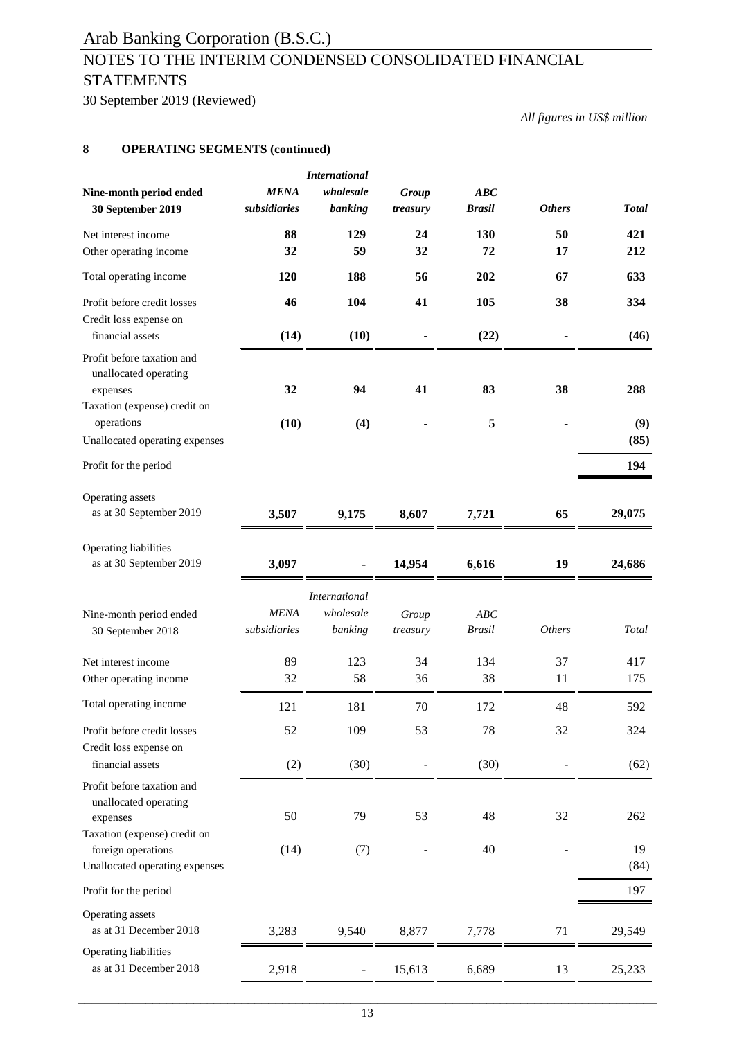# NOTES TO THE INTERIM CONDENSED CONSOLIDATED FINANCIAL **STATEMENTS**

30 September 2019 (Reviewed)

*All figures in US\$ million*

### **8 OPERATING SEGMENTS (continued)**

| Nine-month period ended<br>30 September 2019                                                                          | <b>MENA</b><br>subsidiaries | <b>International</b><br>wholesale<br>banking | Group<br>treasury | ABC<br><b>Brasil</b> | <b>Others</b> | <b>Total</b> |
|-----------------------------------------------------------------------------------------------------------------------|-----------------------------|----------------------------------------------|-------------------|----------------------|---------------|--------------|
| Net interest income                                                                                                   | 88                          | 129                                          | 24                | 130                  | 50            | 421          |
| Other operating income                                                                                                | 32                          | 59                                           | 32                | 72                   | 17            | 212          |
| Total operating income                                                                                                | 120                         | 188                                          | 56                | 202                  | 67            | 633          |
| Profit before credit losses<br>Credit loss expense on<br>financial assets                                             | 46<br>(14)                  | 104<br>(10)                                  | 41                | 105<br>(22)          | 38            | 334<br>(46)  |
| Profit before taxation and<br>unallocated operating<br>expenses<br>Taxation (expense) credit on<br>operations         | 32<br>(10)                  | 94<br>(4)                                    | 41                | 83<br>5              | 38            | 288<br>(9)   |
| Unallocated operating expenses                                                                                        |                             |                                              |                   |                      |               | (85)         |
| Profit for the period                                                                                                 |                             |                                              |                   |                      |               | 194          |
| Operating assets<br>as at 30 September 2019                                                                           | 3,507                       | 9,175                                        | 8,607             | 7,721                | 65            | 29,075       |
| Operating liabilities<br>as at 30 September 2019                                                                      | 3,097                       |                                              | 14,954            | 6,616                | 19            | 24,686       |
| Nine-month period ended<br>30 September 2018                                                                          | <b>MENA</b><br>subsidiaries | <b>International</b><br>wholesale<br>banking | Group<br>treasury | ABC<br><b>Brasil</b> | <b>Others</b> | Total        |
| Net interest income                                                                                                   | 89                          | 123                                          | 34                | 134                  | 37            | 417          |
| Other operating income                                                                                                | 32                          | 58                                           | 36                | 38                   | 11            | 175          |
| Total operating income                                                                                                | 121                         | 181                                          | 70                | 172                  | 48            | 592          |
| Profit before credit losses                                                                                           | 52                          | 109                                          | 53                | 78                   | 32            | 324          |
| Credit loss expense on<br>financial assets                                                                            | (2)                         | (30)                                         |                   | (30)                 |               | (62)         |
| Profit before taxation and<br>unallocated operating<br>expenses<br>Taxation (expense) credit on<br>foreign operations | 50<br>(14)                  | 79<br>(7)                                    | 53                | 48<br>40             | 32            | 262<br>19    |
| Unallocated operating expenses                                                                                        |                             |                                              |                   |                      |               | (84)         |
| Profit for the period                                                                                                 |                             |                                              |                   |                      |               | 197          |
| Operating assets<br>as at 31 December 2018                                                                            | 3,283                       | 9,540                                        | 8,877             | 7,778                | 71            | 29,549       |
| Operating liabilities<br>as at 31 December 2018                                                                       | 2,918                       |                                              | 15,613            | 6,689                | 13            | 25,233       |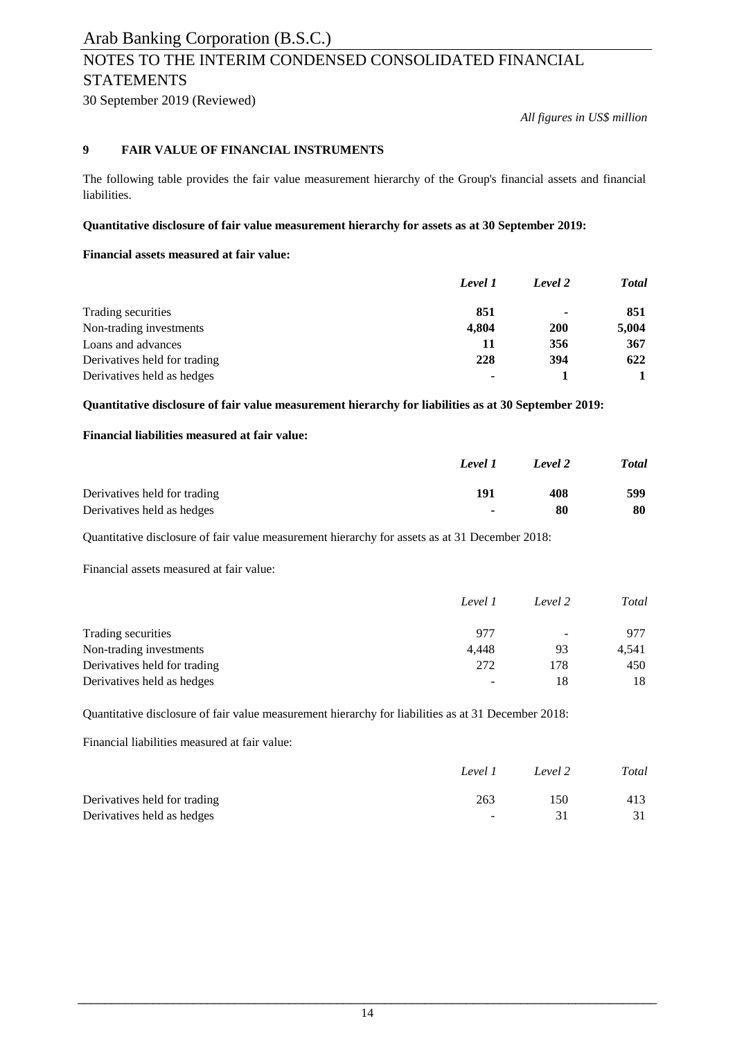# NOTES TO THE INTERIM CONDENSED CONSOLIDATED FINANCIAL STATEMENTS

30 September 2019 (Reviewed)

*All figures in US\$ million*

#### **9 FAIR VALUE OF FINANCIAL INSTRUMENTS**

The following table provides the fair value measurement hierarchy of the Group's financial assets and financial liabilities.

#### **Quantitative disclosure of fair value measurement hierarchy for assets as at 30 September 2019:**

### **Financial assets measured at fair value:**

|                              | Level 1 | Level 2                  | <b>Total</b> |
|------------------------------|---------|--------------------------|--------------|
| Trading securities           | 851     | $\overline{\phantom{a}}$ | 851          |
| Non-trading investments      | 4,804   | <b>200</b>               | 5,004        |
| Loans and advances           | 11      | 356                      | 367          |
| Derivatives held for trading | 228     | 394                      | 622          |
| Derivatives held as hedges   |         |                          |              |

**Quantitative disclosure of fair value measurement hierarchy for liabilities as at 30 September 2019:**

#### **Financial liabilities measured at fair value:**

|                              | Level 1                  | Level 2 | <b>Total</b> |
|------------------------------|--------------------------|---------|--------------|
| Derivatives held for trading | 191                      | 408     | 599          |
| Derivatives held as hedges   | $\overline{\phantom{a}}$ | 80      | 80           |

Quantitative disclosure of fair value measurement hierarchy for assets as at 31 December 2018:

Financial assets measured at fair value:

|                              | Level 1 | Level 2                  | Total |
|------------------------------|---------|--------------------------|-------|
| Trading securities           | 977     | $\overline{\phantom{a}}$ | 977   |
| Non-trading investments      | 4.448   | 93                       | 4,541 |
| Derivatives held for trading | 272     | 178                      | 450   |
| Derivatives held as hedges   | -       | 18                       | 18    |

Quantitative disclosure of fair value measurement hierarchy for liabilities as at 31 December 2018:

Financial liabilities measured at fair value:

|                              | Level 1        | Level 2 | Total |
|------------------------------|----------------|---------|-------|
| Derivatives held for trading | 263            | 150     | 413   |
| Derivatives held as hedges   | <b>Service</b> |         | 31    |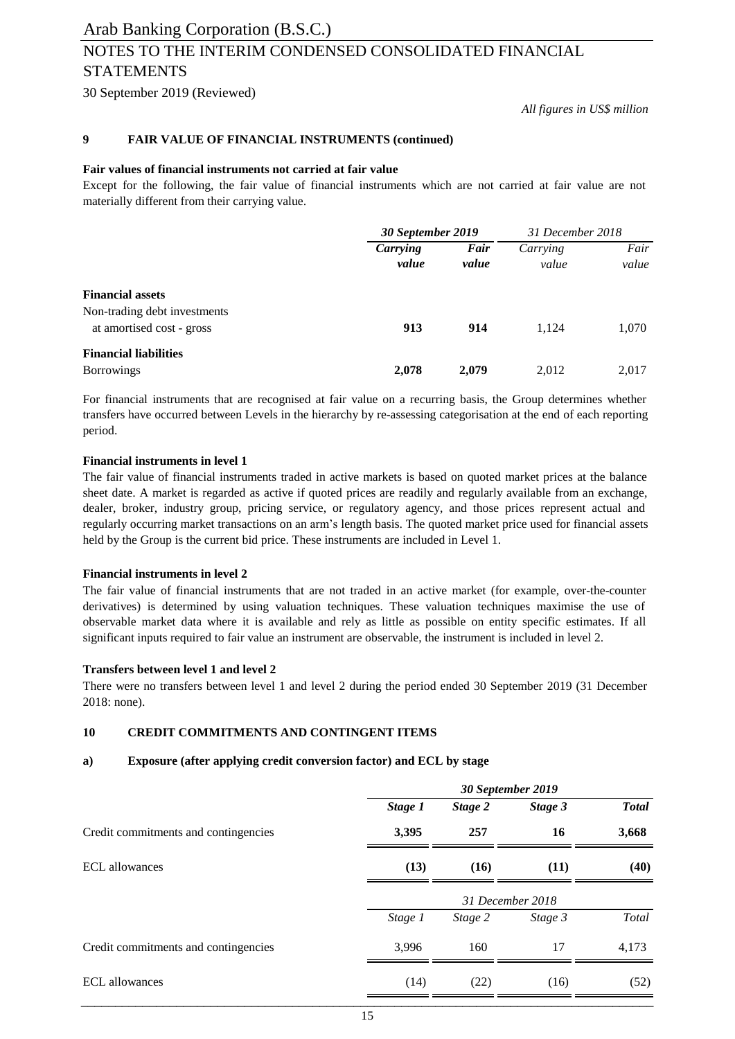# NOTES TO THE INTERIM CONDENSED CONSOLIDATED FINANCIAL STATEMENTS

30 September 2019 (Reviewed)

*All figures in US\$ million*

#### **9 FAIR VALUE OF FINANCIAL INSTRUMENTS (continued)**

#### **Fair values of financial instruments not carried at fair value**

Except for the following, the fair value of financial instruments which are not carried at fair value are not materially different from their carrying value.

|                                                                                      | 30 September 2019 |               | 31 December 2018  |               |
|--------------------------------------------------------------------------------------|-------------------|---------------|-------------------|---------------|
|                                                                                      | Carrying<br>value | Fair<br>value | Carrying<br>value | Fair<br>value |
| <b>Financial assets</b><br>Non-trading debt investments<br>at amortised cost - gross | 913               | 914           | 1.124             | 1,070         |
| <b>Financial liabilities</b><br><b>Borrowings</b>                                    | 2,078             | 2,079         | 2,012             | 2,017         |

For financial instruments that are recognised at fair value on a recurring basis, the Group determines whether transfers have occurred between Levels in the hierarchy by re-assessing categorisation at the end of each reporting period.

#### **Financial instruments in level 1**

The fair value of financial instruments traded in active markets is based on quoted market prices at the balance sheet date. A market is regarded as active if quoted prices are readily and regularly available from an exchange, dealer, broker, industry group, pricing service, or regulatory agency, and those prices represent actual and regularly occurring market transactions on an arm's length basis. The quoted market price used for financial assets held by the Group is the current bid price. These instruments are included in Level 1.

#### **Financial instruments in level 2**

The fair value of financial instruments that are not traded in an active market (for example, over-the-counter derivatives) is determined by using valuation techniques. These valuation techniques maximise the use of observable market data where it is available and rely as little as possible on entity specific estimates. If all significant inputs required to fair value an instrument are observable, the instrument is included in level 2.

#### **Transfers between level 1 and level 2**

There were no transfers between level 1 and level 2 during the period ended 30 September 2019 (31 December 2018: none).

### **10 CREDIT COMMITMENTS AND CONTINGENT ITEMS**

#### **a) Exposure (after applying credit conversion factor) and ECL by stage**

|                                      | 30 September 2019 |         |                  |              |  |
|--------------------------------------|-------------------|---------|------------------|--------------|--|
|                                      | Stage 1           | Stage 2 | Stage 3          | <b>Total</b> |  |
| Credit commitments and contingencies | 3,395             | 257     | 16               | 3,668        |  |
| ECL allowances                       | (13)              | (16)    | (11)             | (40)         |  |
|                                      |                   |         | 31 December 2018 |              |  |
|                                      | Stage 1           | Stage 2 | Stage 3          | Total        |  |
| Credit commitments and contingencies | 3,996             | 160     | 17               | 4,173        |  |
| <b>ECL</b> allowances                | (14)              | (22)    | (16)             | (52)         |  |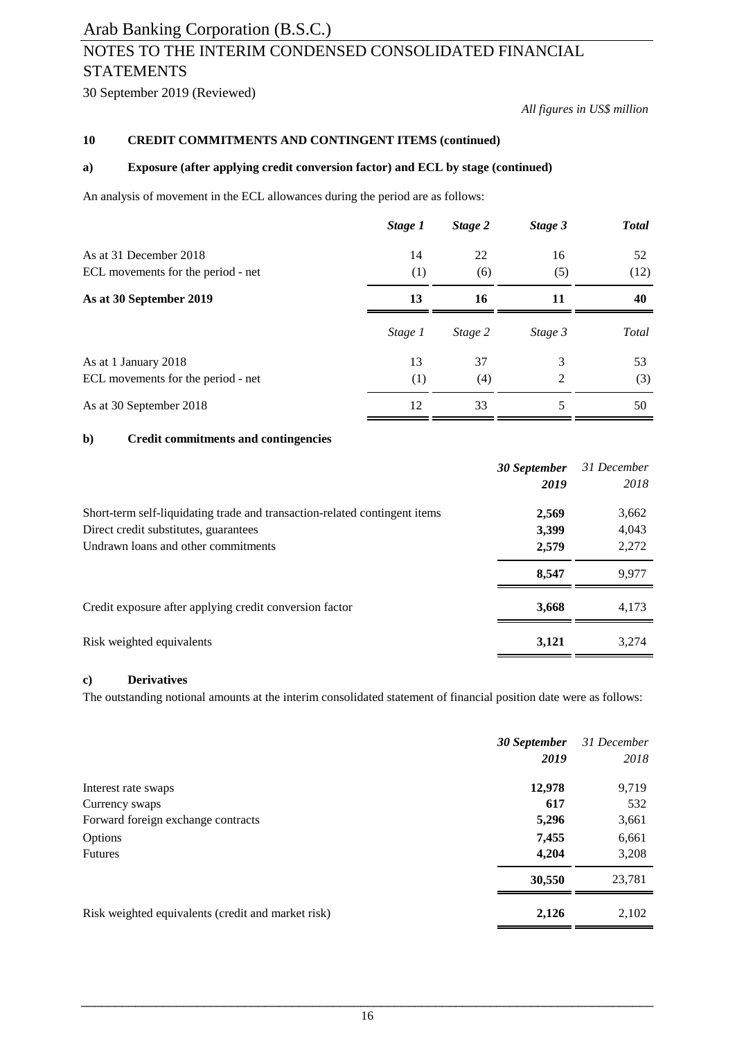# NOTES TO THE INTERIM CONDENSED CONSOLIDATED FINANCIAL STATEMENTS

30 September 2019 (Reviewed)

*All figures in US\$ million*

#### **10 CREDIT COMMITMENTS AND CONTINGENT ITEMS (continued)**

#### **a) Exposure (after applying credit conversion factor) and ECL by stage (continued)**

An analysis of movement in the ECL allowances during the period are as follows:

|                                    | Stage 1 | Stage 2 | Stage 3 | <b>Total</b> |
|------------------------------------|---------|---------|---------|--------------|
| As at 31 December 2018             | 14      | 22      | 16      | 52           |
| ECL movements for the period - net | (1)     | (6)     | (5)     | (12)         |
| As at 30 September 2019            | 13      | 16      | 11      | 40           |
|                                    | Stage 1 | Stage 2 | Stage 3 | Total        |
| As at 1 January 2018               | 13      | 37      | 3       | 53           |
| ECL movements for the period - net | (1)     | (4)     | 2       | (3)          |
| As at 30 September 2018            | 12      | 33      | 5       | 50           |

#### **b) Credit commitments and contingencies**

|                                                                            | 30 September | 31 December |
|----------------------------------------------------------------------------|--------------|-------------|
|                                                                            | 2019         | 2018        |
| Short-term self-liquidating trade and transaction-related contingent items | 2,569        | 3,662       |
| Direct credit substitutes, guarantees                                      | 3,399        | 4,043       |
| Undrawn loans and other commitments                                        | 2,579        | 2,272       |
|                                                                            | 8,547        | 9,977       |
| Credit exposure after applying credit conversion factor                    | 3,668        | 4.173       |
| Risk weighted equivalents                                                  | 3,121        | 3,274       |

#### **c) Derivatives**

The outstanding notional amounts at the interim consolidated statement of financial position date were as follows:

|                                                    | 30 September | 31 December |
|----------------------------------------------------|--------------|-------------|
|                                                    | 2019         | 2018        |
| Interest rate swaps                                | 12,978       | 9,719       |
| Currency swaps                                     | 617          | 532         |
| Forward foreign exchange contracts                 | 5,296        | 3,661       |
| Options                                            | 7,455        | 6,661       |
| <b>Futures</b>                                     | 4,204        | 3,208       |
|                                                    | 30,550       | 23,781      |
| Risk weighted equivalents (credit and market risk) | 2,126        | 2,102       |